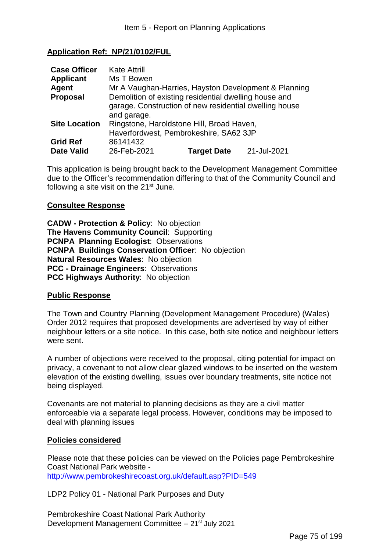### **Application Ref: NP/21/0102/FUL**

| <b>Case Officer</b>  | <b>Kate Attrill</b>                                    |                    |             |
|----------------------|--------------------------------------------------------|--------------------|-------------|
| <b>Applicant</b>     | Ms T Bowen                                             |                    |             |
| Agent                | Mr A Vaughan-Harries, Hayston Development & Planning   |                    |             |
| <b>Proposal</b>      | Demolition of existing residential dwelling house and  |                    |             |
|                      | garage. Construction of new residential dwelling house |                    |             |
|                      | and garage.                                            |                    |             |
| <b>Site Location</b> | Ringstone, Haroldstone Hill, Broad Haven,              |                    |             |
|                      | Haverfordwest, Pembrokeshire, SA62 3JP                 |                    |             |
| <b>Grid Ref</b>      | 86141432                                               |                    |             |
| <b>Date Valid</b>    | 26-Feb-2021                                            | <b>Target Date</b> | 21-Jul-2021 |

This application is being brought back to the Development Management Committee due to the Officer's recommendation differing to that of the Community Council and following a site visit on the  $21<sup>st</sup>$  June.

#### **Consultee Response**

**CADW - Protection & Policy**: No objection **The Havens Community Council**: Supporting **PCNPA Planning Ecologist**: Observations **PCNPA Buildings Conservation Officer**: No objection **Natural Resources Wales**: No objection **PCC - Drainage Engineers**: Observations **PCC Highways Authority**: No objection

#### **Public Response**

The Town and Country Planning (Development Management Procedure) (Wales) Order 2012 requires that proposed developments are advertised by way of either neighbour letters or a site notice. In this case, both site notice and neighbour letters were sent.

A number of objections were received to the proposal, citing potential for impact on privacy, a covenant to not allow clear glazed windows to be inserted on the western elevation of the existing dwelling, issues over boundary treatments, site notice not being displayed.

Covenants are not material to planning decisions as they are a civil matter enforceable via a separate legal process. However, conditions may be imposed to deal with planning issues

#### **Policies considered**

Please note that these policies can be viewed on the Policies page Pembrokeshire Coast National Park website http://www.pembrokeshirecoast.org.uk/default.asp?PID=549

LDP2 Policy 01 - National Park Purposes and Duty

Pembrokeshire Coast National Park Authority Development Management Committee  $-21^{st}$  July 2021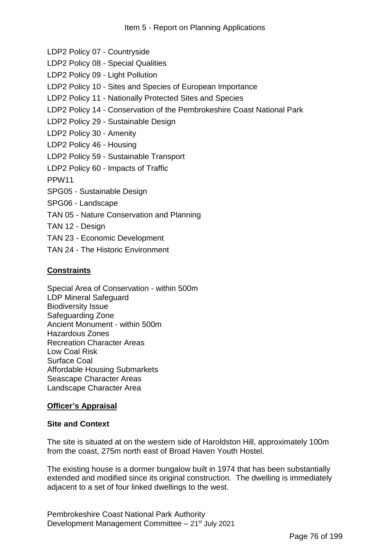- LDP2 Policy 07 Countryside
- LDP2 Policy 08 Special Qualities
- LDP2 Policy 09 Light Pollution
- LDP2 Policy 10 Sites and Species of European Importance
- LDP2 Policy 11 Nationally Protected Sites and Species
- LDP2 Policy 14 Conservation of the Pembrokeshire Coast National Park
- LDP2 Policy 29 Sustainable Design
- LDP2 Policy 30 Amenity
- LDP2 Policy 46 Housing
- LDP2 Policy 59 Sustainable Transport
- LDP2 Policy 60 Impacts of Traffic
- PPW11
- SPG05 Sustainable Design
- SPG06 Landscape
- TAN 05 Nature Conservation and Planning
- TAN 12 Design
- TAN 23 Economic Development
- TAN 24 The Historic Environment

### **Constraints**

Special Area of Conservation - within 500m LDP Mineral Safeguard Biodiversity Issue Safeguarding Zone Ancient Monument - within 500m Hazardous Zones Recreation Character Areas Low Coal Risk Surface Coal Affordable Housing Submarkets Seascape Character Areas Landscape Character Area

### **Officer's Appraisal**

### **Site and Context**

The site is situated at on the western side of Haroldston Hill, approximately 100m from the coast, 275m north east of Broad Haven Youth Hostel.

The existing house is a dormer bungalow built in 1974 that has been substantially extended and modified since its original construction. The dwelling is immediately adjacent to a set of four linked dwellings to the west.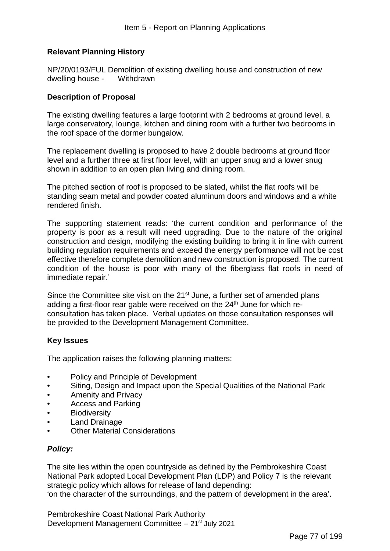# **Relevant Planning History**

NP/20/0193/FUL Demolition of existing dwelling house and construction of new dwelling house - Withdrawn

#### **Description of Proposal**

The existing dwelling features a large footprint with 2 bedrooms at ground level, a large conservatory, lounge, kitchen and dining room with a further two bedrooms in the roof space of the dormer bungalow.

The replacement dwelling is proposed to have 2 double bedrooms at ground floor level and a further three at first floor level, with an upper snug and a lower snug shown in addition to an open plan living and dining room.

The pitched section of roof is proposed to be slated, whilst the flat roofs will be standing seam metal and powder coated aluminum doors and windows and a white rendered finish.

The supporting statement reads: 'the current condition and performance of the property is poor as a result will need upgrading. Due to the nature of the original construction and design, modifying the existing building to bring it in line with current building regulation requirements and exceed the energy performance will not be cost effective therefore complete demolition and new construction is proposed. The current condition of the house is poor with many of the fiberglass flat roofs in need of immediate repair.'

Since the Committee site visit on the 21<sup>st</sup> June, a further set of amended plans adding a first-floor rear gable were received on the 24<sup>th</sup> June for which reconsultation has taken place. Verbal updates on those consultation responses will be provided to the Development Management Committee.

### **Key Issues**

The application raises the following planning matters:

- Policy and Principle of Development
- Siting, Design and Impact upon the Special Qualities of the National Park
- Amenity and Privacy
- Access and Parking
- Biodiversity
- Land Drainage
- Other Material Considerations

### *Policy:*

The site lies within the open countryside as defined by the Pembrokeshire Coast National Park adopted Local Development Plan (LDP) and Policy 7 is the relevant strategic policy which allows for release of land depending:

'on the character of the surroundings, and the pattern of development in the area'.

Pembrokeshire Coast National Park Authority Development Management Committee  $-21$ <sup>st</sup> July 2021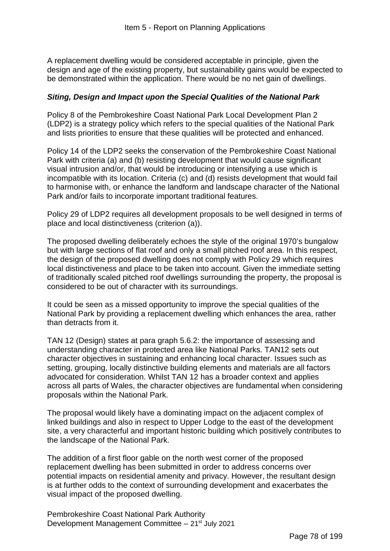A replacement dwelling would be considered acceptable in principle, given the design and age of the existing property, but sustainability gains would be expected to be demonstrated within the application. There would be no net gain of dwellings.

### *Siting, Design and Impact upon the Special Qualities of the National Park*

Policy 8 of the Pembrokeshire Coast National Park Local Development Plan 2 (LDP2) is a strategy policy which refers to the special qualities of the National Park and lists priorities to ensure that these qualities will be protected and enhanced.

Policy 14 of the LDP2 seeks the conservation of the Pembrokeshire Coast National Park with criteria (a) and (b) resisting development that would cause significant visual intrusion and/or, that would be introducing or intensifying a use which is incompatible with its location. Criteria (c) and (d) resists development that would fail to harmonise with, or enhance the landform and landscape character of the National Park and/or fails to incorporate important traditional features.

Policy 29 of LDP2 requires all development proposals to be well designed in terms of place and local distinctiveness (criterion (a)).

The proposed dwelling deliberately echoes the style of the original 1970's bungalow but with large sections of flat roof and only a small pitched roof area. In this respect, the design of the proposed dwelling does not comply with Policy 29 which requires local distinctiveness and place to be taken into account. Given the immediate setting of traditionally scaled pitched roof dwellings surrounding the property, the proposal is considered to be out of character with its surroundings.

It could be seen as a missed opportunity to improve the special qualities of the National Park by providing a replacement dwelling which enhances the area, rather than detracts from it.

TAN 12 (Design) states at para graph 5.6.2: the importance of assessing and understanding character in protected area like National Parks. TAN12 sets out character objectives in sustaining and enhancing local character. Issues such as setting, grouping, locally distinctive building elements and materials are all factors advocated for consideration. Whilst TAN 12 has a broader context and applies across all parts of Wales, the character objectives are fundamental when considering proposals within the National Park.

The proposal would likely have a dominating impact on the adjacent complex of linked buildings and also in respect to Upper Lodge to the east of the development site, a very characterful and important historic building which positively contributes to the landscape of the National Park.

The addition of a first floor gable on the north west corner of the proposed replacement dwelling has been submitted in order to address concerns over potential impacts on residential amenity and privacy. However, the resultant design is at further odds to the context of surrounding development and exacerbates the visual impact of the proposed dwelling.

Pembrokeshire Coast National Park Authority Development Management Committee  $-21$ <sup>st</sup> July 2021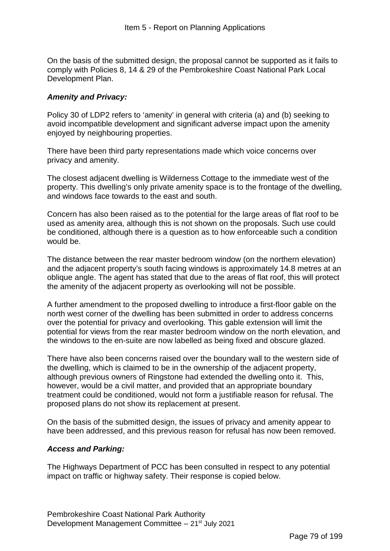On the basis of the submitted design, the proposal cannot be supported as it fails to comply with Policies 8, 14 & 29 of the Pembrokeshire Coast National Park Local Development Plan.

# *Amenity and Privacy:*

Policy 30 of LDP2 refers to 'amenity' in general with criteria (a) and (b) seeking to avoid incompatible development and significant adverse impact upon the amenity enjoyed by neighbouring properties.

There have been third party representations made which voice concerns over privacy and amenity.

The closest adjacent dwelling is Wilderness Cottage to the immediate west of the property. This dwelling's only private amenity space is to the frontage of the dwelling, and windows face towards to the east and south.

Concern has also been raised as to the potential for the large areas of flat roof to be used as amenity area, although this is not shown on the proposals. Such use could be conditioned, although there is a question as to how enforceable such a condition would be.

The distance between the rear master bedroom window (on the northern elevation) and the adjacent property's south facing windows is approximately 14.8 metres at an oblique angle. The agent has stated that due to the areas of flat roof, this will protect the amenity of the adjacent property as overlooking will not be possible.

A further amendment to the proposed dwelling to introduce a first-floor gable on the north west corner of the dwelling has been submitted in order to address concerns over the potential for privacy and overlooking. This gable extension will limit the potential for views from the rear master bedroom window on the north elevation, and the windows to the en-suite are now labelled as being fixed and obscure glazed.

There have also been concerns raised over the boundary wall to the western side of the dwelling, which is claimed to be in the ownership of the adjacent property, although previous owners of Ringstone had extended the dwelling onto it. This, however, would be a civil matter, and provided that an appropriate boundary treatment could be conditioned, would not form a justifiable reason for refusal. The proposed plans do not show its replacement at present.

On the basis of the submitted design, the issues of privacy and amenity appear to have been addressed, and this previous reason for refusal has now been removed.

### *Access and Parking:*

The Highways Department of PCC has been consulted in respect to any potential impact on traffic or highway safety. Their response is copied below.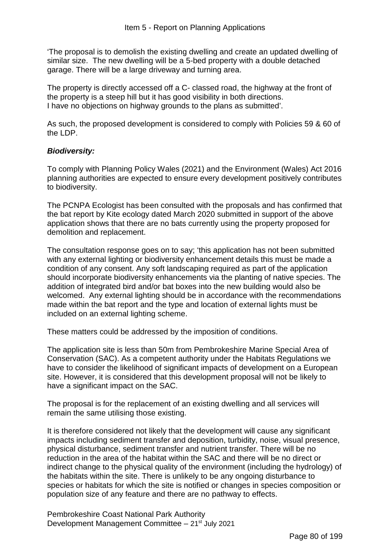'The proposal is to demolish the existing dwelling and create an updated dwelling of similar size. The new dwelling will be a 5-bed property with a double detached garage. There will be a large driveway and turning area.

The property is directly accessed off a C- classed road, the highway at the front of the property is a steep hill but it has good visibility in both directions. I have no objections on highway grounds to the plans as submitted'.

As such, the proposed development is considered to comply with Policies 59 & 60 of the LDP.

### *Biodiversity:*

To comply with Planning Policy Wales (2021) and the Environment (Wales) Act 2016 planning authorities are expected to ensure every development positively contributes to biodiversity.

The PCNPA Ecologist has been consulted with the proposals and has confirmed that the bat report by Kite ecology dated March 2020 submitted in support of the above application shows that there are no bats currently using the property proposed for demolition and replacement.

The consultation response goes on to say; 'this application has not been submitted with any external lighting or biodiversity enhancement details this must be made a condition of any consent. Any soft landscaping required as part of the application should incorporate biodiversity enhancements via the planting of native species. The addition of integrated bird and/or bat boxes into the new building would also be welcomed. Any external lighting should be in accordance with the recommendations made within the bat report and the type and location of external lights must be included on an external lighting scheme.

These matters could be addressed by the imposition of conditions.

The application site is less than 50m from Pembrokeshire Marine Special Area of Conservation (SAC). As a competent authority under the Habitats Regulations we have to consider the likelihood of significant impacts of development on a European site. However, it is considered that this development proposal will not be likely to have a significant impact on the SAC.

The proposal is for the replacement of an existing dwelling and all services will remain the same utilising those existing.

It is therefore considered not likely that the development will cause any significant impacts including sediment transfer and deposition, turbidity, noise, visual presence, physical disturbance, sediment transfer and nutrient transfer. There will be no reduction in the area of the habitat within the SAC and there will be no direct or indirect change to the physical quality of the environment (including the hydrology) of the habitats within the site. There is unlikely to be any ongoing disturbance to species or habitats for which the site is notified or changes in species composition or population size of any feature and there are no pathway to effects.

Pembrokeshire Coast National Park Authority Development Management Committee – 21st July 2021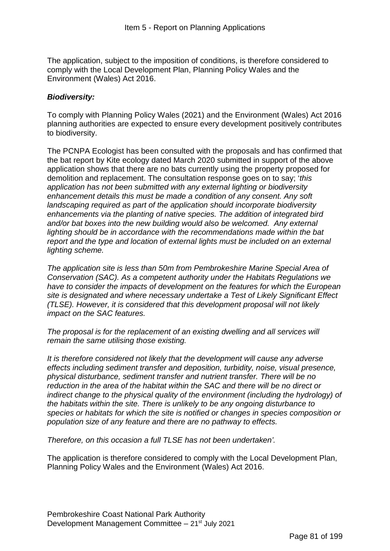The application, subject to the imposition of conditions, is therefore considered to comply with the Local Development Plan, Planning Policy Wales and the Environment (Wales) Act 2016.

# *Biodiversity:*

To comply with Planning Policy Wales (2021) and the Environment (Wales) Act 2016 planning authorities are expected to ensure every development positively contributes to biodiversity.

The PCNPA Ecologist has been consulted with the proposals and has confirmed that the bat report by Kite ecology dated March 2020 submitted in support of the above application shows that there are no bats currently using the property proposed for demolition and replacement. The consultation response goes on to say; '*this application has not been submitted with any external lighting or biodiversity enhancement details this must be made a condition of any consent. Any soft landscaping required as part of the application should incorporate biodiversity enhancements via the planting of native species. The addition of integrated bird and/or bat boxes into the new building would also be welcomed. Any external lighting should be in accordance with the recommendations made within the bat report and the type and location of external lights must be included on an external lighting scheme.* 

*The application site is less than 50m from Pembrokeshire Marine Special Area of Conservation (SAC). As a competent authority under the Habitats Regulations we have to consider the impacts of development on the features for which the European site is designated and where necessary undertake a Test of Likely Significant Effect (TLSE). However, it is considered that this development proposal will not likely impact on the SAC features.* 

*The proposal is for the replacement of an existing dwelling and all services will remain the same utilising those existing.* 

*It is therefore considered not likely that the development will cause any adverse effects including sediment transfer and deposition, turbidity, noise, visual presence, physical disturbance, sediment transfer and nutrient transfer. There will be no reduction in the area of the habitat within the SAC and there will be no direct or indirect change to the physical quality of the environment (including the hydrology) of the habitats within the site. There is unlikely to be any ongoing disturbance to species or habitats for which the site is notified or changes in species composition or population size of any feature and there are no pathway to effects.* 

*Therefore, on this occasion a full TLSE has not been undertaken'.*

The application is therefore considered to comply with the Local Development Plan, Planning Policy Wales and the Environment (Wales) Act 2016.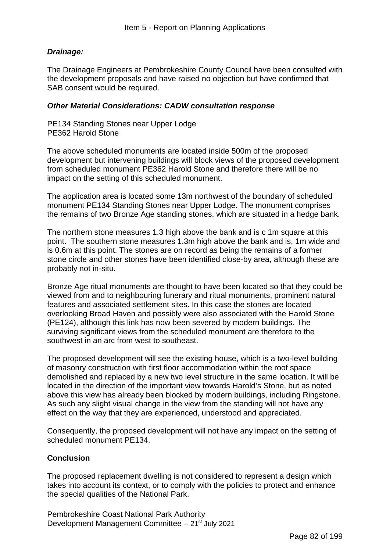# *Drainage:*

The Drainage Engineers at Pembrokeshire County Council have been consulted with the development proposals and have raised no objection but have confirmed that SAB consent would be required.

#### *Other Material Considerations: CADW consultation response*

PE134 Standing Stones near Upper Lodge PE362 Harold Stone

The above scheduled monuments are located inside 500m of the proposed development but intervening buildings will block views of the proposed development from scheduled monument PE362 Harold Stone and therefore there will be no impact on the setting of this scheduled monument.

The application area is located some 13m northwest of the boundary of scheduled monument PE134 Standing Stones near Upper Lodge. The monument comprises the remains of two Bronze Age standing stones, which are situated in a hedge bank.

The northern stone measures 1.3 high above the bank and is c 1m square at this point. The southern stone measures 1.3m high above the bank and is, 1m wide and is 0.6m at this point. The stones are on record as being the remains of a former stone circle and other stones have been identified close-by area, although these are probably not in-situ.

Bronze Age ritual monuments are thought to have been located so that they could be viewed from and to neighbouring funerary and ritual monuments, prominent natural features and associated settlement sites. In this case the stones are located overlooking Broad Haven and possibly were also associated with the Harold Stone (PE124), although this link has now been severed by modern buildings. The surviving significant views from the scheduled monument are therefore to the southwest in an arc from west to southeast.

The proposed development will see the existing house, which is a two-level building of masonry construction with first floor accommodation within the roof space demolished and replaced by a new two level structure in the same location. It will be located in the direction of the important view towards Harold's Stone, but as noted above this view has already been blocked by modern buildings, including Ringstone. As such any slight visual change in the view from the standing will not have any effect on the way that they are experienced, understood and appreciated.

Consequently, the proposed development will not have any impact on the setting of scheduled monument PE134.

### **Conclusion**

The proposed replacement dwelling is not considered to represent a design which takes into account its context, or to comply with the policies to protect and enhance the special qualities of the National Park.

Pembrokeshire Coast National Park Authority Development Management Committee – 21st July 2021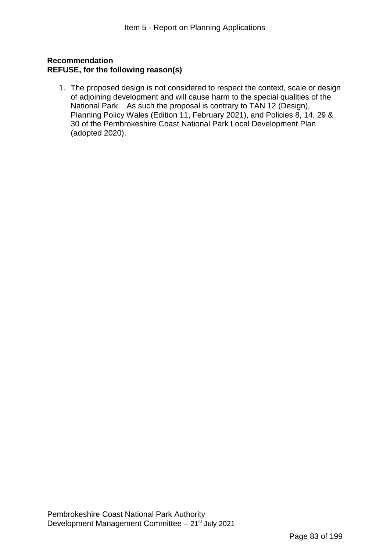# **Recommendation REFUSE, for the following reason(s)**

1. The proposed design is not considered to respect the context, scale or design of adjoining development and will cause harm to the special qualities of the National Park. As such the proposal is contrary to TAN 12 (Design), Planning Policy Wales (Edition 11, February 2021), and Policies 8, 14, 29 & 30 of the Pembrokeshire Coast National Park Local Development Plan (adopted 2020).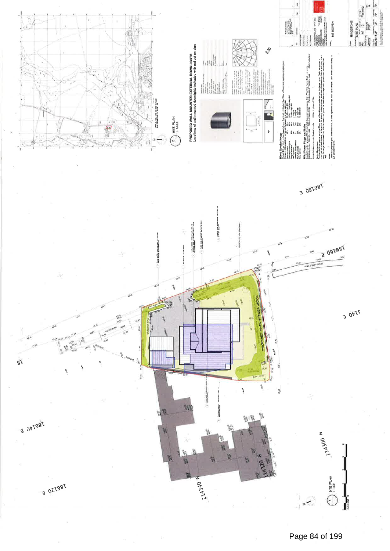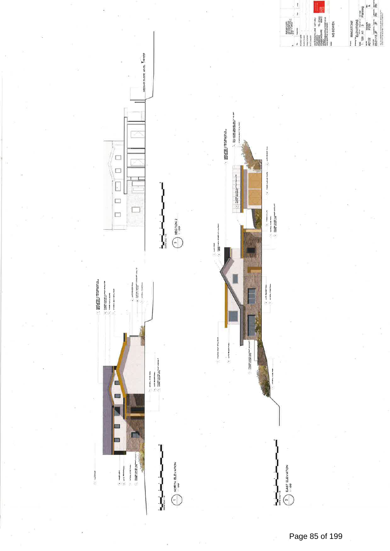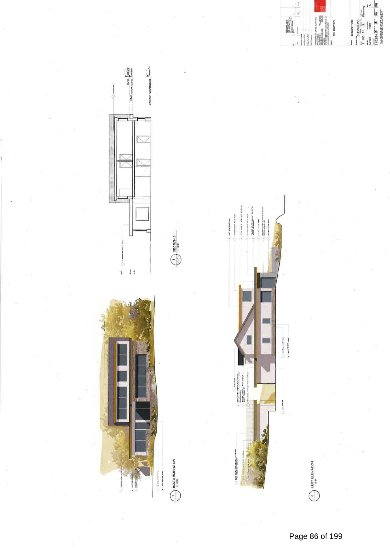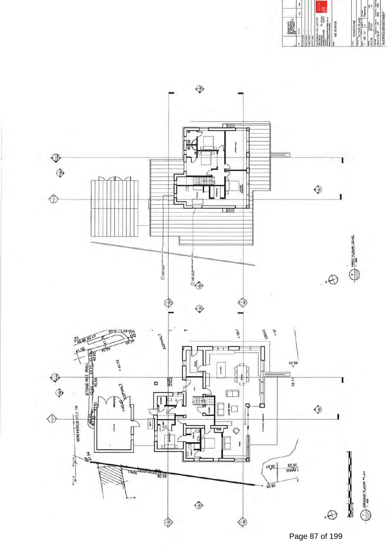

Page 87 of 199

 $\begin{array}{|c|c|c|}\n\hline\n\text{a} & \text{RINGSTONE} \\
\hline\n\text{a} & \text{a} & \text{a} & \text{b} \\
\hline\n\text{a} & \text{b} & \text{c} & \text{d} \\
\hline\n\text{a} & \text{c} & \text{d} & \text{d} \\
\hline\n\text{a} & \text{c} & \text{d} & \text{d} \\
\hline\n\text{a} & \text{c} & \text{d} & \text{d} \\
\hline\n\text{a} & \text{d} & \text{d} & \text{e} & \text{d} \\
\hline\n\text{a} & \text$ 

 $\underline{\mathbf{i}}$ 

ł

 $\overline{\mathbf{g}}$ 

II.

**TEL 275453** 

MS BOWEN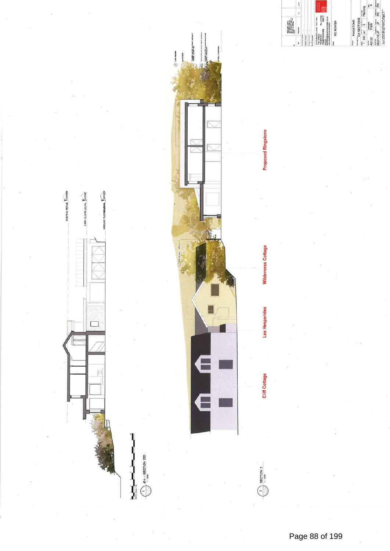